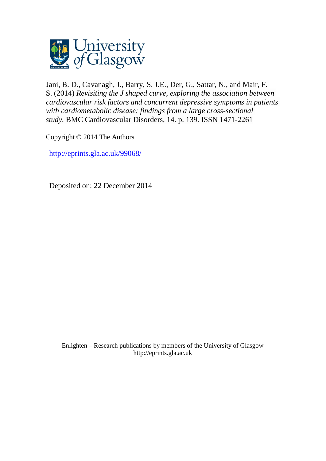

Jani, B. D., [Cavanagh, J.,](http://eprints.gla.ac.uk/view/author/6165.html) [Barry, S. J.E.,](http://eprints.gla.ac.uk/view/author/11714.html) [Der, G.,](http://eprints.gla.ac.uk/view/author/5915.html) [Sattar, N.,](http://eprints.gla.ac.uk/view/author/10313.html) and Mair, F. S. (2014) *Revisiting the J shaped curve, exploring the association between cardiovascular risk factors and concurrent depressive symptoms in patients with cardiometabolic disease: findings from a large cross-sectional study.* [BMC Cardiovascular Disorders,](http://eprints.gla.ac.uk/view/journal_volume/BMC_Cardiovascular_Disorders.html) 14. p. 139. ISSN 1471-2261

Copyright © 2014 The Authors

<http://eprints.gla.ac.uk/99068/>

Deposited on: 22 December 2014

Enlighten – Research publications by members of the University of Glasgo[w](http://eprints.gla.ac.uk/) [http://eprints.gla.ac.uk](http://eprints.gla.ac.uk/)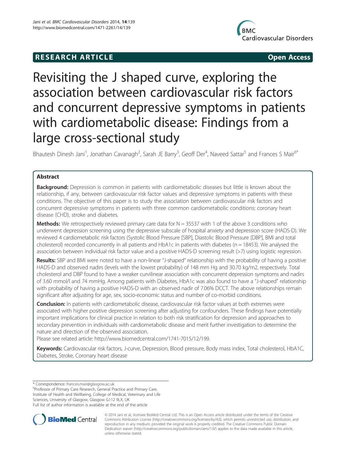## **RESEARCH ARTICLE Example 2014 12:30 The SEAR CHA RTICLE**



# Revisiting the J shaped curve, exploring the association between cardiovascular risk factors and concurrent depressive symptoms in patients with cardiometabolic disease: Findings from a large cross-sectional study

Bhautesh Dinesh Jani<sup>1</sup>, Jonathan Cavanagh<sup>2</sup>, Sarah JE Barry<sup>3</sup>, Geoff Der<sup>4</sup>, Naveed Sattar<sup>5</sup> and Frances S Mair<sup>6\*</sup>

## Abstract

Background: Depression is common in patients with cardiometabolic diseases but little is known about the relationship, if any, between cardiovascular risk factor values and depressive symptoms in patients with these conditions. The objective of this paper is to study the association between cardiovascular risk factors and concurrent depressive symptoms in patients with three common cardiometabolic conditions: coronary heart disease (CHD), stroke and diabetes.

**Methods:** We retrospectively reviewed primary care data for  $N = 35537$  with 1 of the above 3 conditions who underwent depression screening using the depressive subscale of hospital anxiety and depression score (HADS-D). We reviewed 4 cardiometabolic risk factors (Systolic Blood Pressure [SBP], Diastolic Blood Pressure [DBP], BMI and total cholesterol) recorded concurrently in all patients and HbA1c in patients with diabetes (n = 18453). We analysed the association between individual risk factor value and a positive HADS-D screening result (>7) using logistic regression.

Results: SBP and BMI were noted to have a non-linear "J-shaped" relationship with the probability of having a positive HADS-D and observed nadirs (levels with the lowest probability) of 148 mm Hg and 30.70 kg/m2, respectively. Total cholesterol and DBP found to have a weaker curvilinear association with concurrent depression symptoms and nadirs of 3.60 mmol/l and 74 mmHg. Among patients with Diabetes, HbA1c was also found to have a "J-shaped" relationship with probability of having a positive HADS-D with an observed nadir of 7.06% DCCT. The above relationships remain significant after adjusting for age, sex, socio-economic status and number of co-morbid conditions.

Conclusion: In patients with cardiometabolic disease, cardiovascular risk factor values at both extremes were associated with higher positive depression screening after adjusting for confounders. These findings have potentially important implications for clinical practice in relation to both risk stratification for depression and approaches to secondary prevention in individuals with cardiometabolic disease and merit further investigation to determine the nature and direction of the observed association.

Please see related article: [http://www.biomedcentral.com/1741-7015/12/199.](http://www.biomedcentral.com/1741-7015/12/199)

Keywords: Cardiovascular risk factors, J-curve, Depression, Blood pressure, Body mass index, Total cholesterol, HbA1C, Diabetes, Stroke, Coronary heart disease

\* Correspondence: [frances.mair@glasgow.ac.uk](mailto:frances.mair@glasgow.ac.uk) <sup>6</sup>

<sup>6</sup>Professor of Primary Care Research, General Practice and Primary Care, Institute of Health and Wellbeing, College of Medical, Veterinary and Life Sciences, University of Glasgow, Glasgow G112 9LX, UK Full list of author information is available at the end of the article



© 2014 Jani et al.; licensee BioMed Central Ltd. This is an Open Access article distributed under the terms of the Creative Commons Attribution License [\(http://creativecommons.org/licenses/by/4.0\)](http://creativecommons.org/licenses/by/4.0), which permits unrestricted use, distribution, and reproduction in any medium, provided the original work is properly credited. The Creative Commons Public Domain Dedication waiver [\(http://creativecommons.org/publicdomain/zero/1.0/](http://creativecommons.org/publicdomain/zero/1.0/)) applies to the data made available in this article, unless otherwise stated.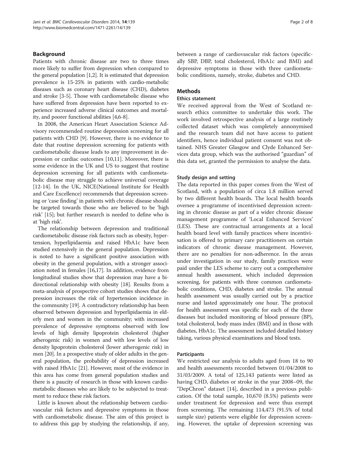#### Background

Patients with chronic disease are two to three times more likely to suffer from depression when compared to the general population [\[1,2\]](#page-7-0). It is estimated that depression prevalence is 15-25% in patients with cardio-metabolic diseases such as coronary heart disease (CHD), diabetes and stroke [\[3](#page-7-0)-[5](#page-7-0)]. Those with cardiometabolic disease who have suffered from depression have been reported to experience increased adverse clinical outcomes and mortality, and poorer functional abilities [[4,6](#page-7-0)-[8\]](#page-7-0).

In 2008, the American Heart Association Science Advisory recommended routine depression screening for all patients with CHD [\[9](#page-7-0)]. However, there is no evidence to date that routine depression screening for patients with cardiometabolic disease leads to any improvement in depression or cardiac outcomes [[10](#page-7-0),[11](#page-7-0)]. Moreover, there is some evidence in the UK and US to suggest that routine depression screening for all patients with cardiometabolic disease may struggle to achieve universal coverage [[12-14](#page-7-0)]. In the UK, NICE(National Institute for Health and Care Excellence) recommends that depression screening or 'case finding' in patients with chronic disease should be targeted towards those who are believed to be 'high risk' [[15](#page-7-0)]; but further research is needed to define who is at 'high risk'.

The relationship between depression and traditional cardiometabolic disease risk factors such as obesity, hypertension, hyperlipidaemia and raised HbA1c have been studied extensively in the general population. Depression is noted to have a significant positive association with obesity in the general population, with a stronger association noted in females [[16,17\]](#page-7-0). In addition, evidence from longitudinal studies show that depression may have a bidirectional relationship with obesity [\[18\]](#page-7-0). Results from a meta-analysis of prospective cohort studies shows that depression increases the risk of hypertension incidence in the community [\[19](#page-7-0)]. A contradictory relationship has been observed between depression and hyperlipidaemia in elderly men and women in the community; with increased prevalence of depressive symptoms observed with low levels of high density lipoprotein cholesterol (higher atherogenic risk) in women and with low levels of low density lipoprotein cholesterol (lower atherogenic risk) in men [\[20\]](#page-7-0). In a prospective study of older adults in the general population, the probability of depression increased with raised HbA1c [\[21\]](#page-7-0). However, most of the evidence in this area has come from general population studies and there is a paucity of research in those with known cardiometabolic diseases who are likely to be subjected to treatment to reduce these risk factors.

Little is known about the relationship between cardiovascular risk factors and depressive symptoms in those with cardiometabolic disease. The aim of this project is to address this gap by studying the relationship, if any, between a range of cardiovascular risk factors (specifically SBP, DBP, total cholesterol, HbA1c and BMI) and depressive symptoms in those with three cardiometabolic conditions, namely, stroke, diabetes and CHD.

## **Methods**

#### Ethics statement

We received approval from the West of Scotland research ethics committee to undertake this work. The work involved retrospective analysis of a large routinely collected dataset which was completely annonymised and the research team did not have access to patient identifiers, hence individual patient consent was not obtained. NHS Greater Glasgow and Clyde Enhanced Services data group, which was the authorised "guardian" of this data set, granted the permission to analyse the data.

#### Study design and setting

The data reported in this paper comes from the West of Scotland, with a population of circa 1.8 million served by two different health boards. The local health boards oversee a programme of incentivised depression screening in chronic disease as part of a wider chronic disease management programme of 'Local Enhanced Services' (LES). These are contractual arrangements at a local health board level with family practices where incentivisation is offered to primary care practitioners on certain indicators of chronic disease management. However, there are no penalties for non-adherence. In the areas under investigation in our study, family practices were paid under the LES scheme to carry out a comprehensive annual health assessment, which included depression screening, for patients with three common cardiometabolic conditions, CHD, diabetes and stroke. The annual health assessment was usually carried out by a practice nurse and lasted approximately one hour. The protocol for health assessment was specific for each of the three diseases but included monitoring of blood pressure (BP), total cholesterol, body mass index (BMI) and in those with diabetes, HbA1c. The assessment included detailed history taking, various physical examinations and blood tests.

#### Participants

We restricted our analysis to adults aged from 18 to 90 and health assessments recorded between 01/04/2008 to 31/03/2009. A total of 125,143 patients were listed as having CHD, diabetes or stroke in the year 2008–09, the "DepChron" dataset [\[14](#page-7-0)], described in a previous publication. Of the total sample, 10,670 (8.5%) patients were under treatment for depression and were thus exempt from screening. The remaining 114,473 (91.5% of total sample size) patients were eligible for depression screening. However, the uptake of depression screening was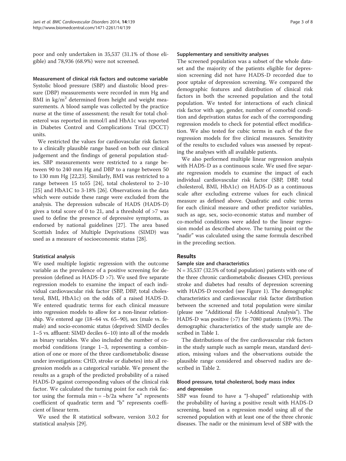poor and only undertaken in 35,537 (31.1% of those eligible) and 78,936 (68.9%) were not screened.

#### Measurement of clinical risk factors and outcome variable

Systolic blood pressure (SBP) and diastolic blood pressure (DBP) measurements were recorded in mm Hg and BMI in  $\text{kg/m}^2$  determined from height and weight measurements. A blood sample was collected by the practice nurse at the time of assessment; the result for total cholesterol was reported in mmol/l and HbA1c was reported in Diabetes Control and Complications Trial (DCCT) units.

We restricted the values for cardiovascular risk factors to a clinically plausible range based on both our clinical judgement and the findings of general population studies. SBP measurements were restricted to a range between 90 to 240 mm Hg and DBP to a range between 50 to 130 mm Hg [\[22,23](#page-7-0)]. Similarly, BMI was restricted to a range between 15 to55 [[24\]](#page-7-0), total cholesterol to 2–10 [[25\]](#page-7-0) and HbA1C to 3-18% [\[26\]](#page-7-0). Observations in the data which were outside these range were excluded from the analysis. The depression subscale of HADS (HADS-D) gives a total score of 0 to 21, and a threshold of >7 was used to define the presence of depressive symptoms, as endorsed by national guidelines [[27\]](#page-7-0). The area based Scottish Index of Multiple Deprivations (SIMD) was used as a measure of socioeconomic status [\[28](#page-8-0)].

#### Statistical analysis

We used multiple logistic regression with the outcome variable as the prevalence of a positive screening for depression (defined as HADS-D >7). We used five separate regression models to examine the impact of each individual cardiovascular risk factor (SBP, DBP, total cholesterol, BMI, HbA1c) on the odds of a raised HADS-D. We entered quadratic terms for each clinical measure into regression models to allow for a non-linear relationship. We entered age (18–64 vs. 65–90), sex (male vs. female) and socio-economic status (deprived: SIMD deciles 1–5 vs. affluent: SIMD deciles 6–10) into all of the models as binary variables. We also included the number of comorbid conditions (range 1–3, representing a combination of one or more of the three cardiometabolic disease under investigations: CHD, stroke or diabetes) into all regression models as a categorical variable. We present the results as a graph of the predicted probability of a raised HADS-D against corresponding values of the clinical risk factor. We calculated the turning point for each risk factor using the formula min  $= -b/2a$  where "a" represents coefficient of quadratic term and "b" represents coefficient of linear term.

We used the R statistical software, version 3.0.2 for statistical analysis [[29\]](#page-8-0).

#### Supplementary and sensitivity analyses

The screened population was a subset of the whole dataset and the majority of the patients eligible for depression screening did not have HADS-D recorded due to poor uptake of depression screening. We compared the demographic features and distribution of clinical risk factors in both the screened population and the total population. We tested for interactions of each clinical risk factor with age, gender, number of comorbid condition and deprivation status for each of the corresponding regression models to check for potential effect modification. We also tested for cubic terms in each of the five regression models for five clinical measures. Sensitivity of the results to excluded values was assessed by repeating the analyses with all available patients.

We also performed multiple linear regression analysis with HADS-D as a continuous scale. We used five separate regression models to examine the impact of each individual cardiovascular risk factor (SBP, DBP, total cholesterol, BMI, HbA1c) on HADS-D as a continuous scale after excluding extreme values for each clinical measure as defined above. Quadratic and cubic terms for each clinical measure and other predictor variables, such as age, sex, socio-economic status and number of co-morbid conditions were added to the linear regression model as described above. The turning point or the "nadir" was calculated using the same formula described in the preceding section.

#### Results

#### Sample size and characteristics

N = 35,537 (32.5% of total population) patients with one of the three chronic cardiometabolic diseases CHD, previous stroke and diabetes had results of depression screening with HADS-D recorded (see Figure [1](#page-4-0)). The demographic characteristics and cardiovascular risk factor distribution between the screened and total population were similar (please see "Additional file [1-](#page-7-0)Additional Analysis"). The HADS-D was positive (>7) for 7080 patients (19.9%). The demographic characteristics of the study sample are described in Table [1](#page-4-0).

The distributions of the five cardiovascular risk factors in the study sample such as sample mean, standard deviation, missing values and the observations outside the plausible range considered and observed nadirs are described in Table [2.](#page-5-0)

#### Blood pressure, total cholesterol, body mass index and depression

SBP was found to have a "J-shaped" relationship with the probability of having a positive result with HADS-D screening, based on a regression model using all of the screened population with at least one of the three chronic diseases. The nadir or the minimum level of SBP with the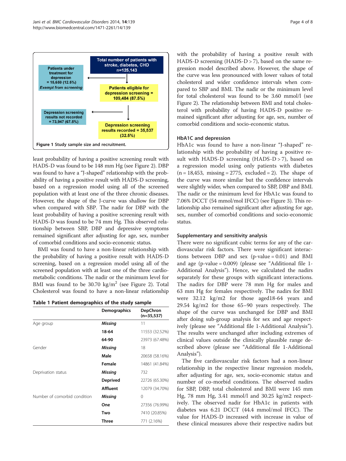<span id="page-4-0"></span>

least probability of having a positive screening result with HADS-D was found to be 148 mm Hg (see Figure [2](#page-5-0)). DBP was found to have a "J-shaped" relationship with the probability of having a positive result with HADS-D screening, based on a regression model using all of the screened population with at least one of the three chronic diseases. However, the shape of the J-curve was shallow for DBP when compared with SBP. The nadir for DBP with the least probability of having a positive screening result with HADS-D was found to be 74 mm Hg. This observed relationship between SBP, DBP and depressive symptoms remained significant after adjusting for age, sex, number of comorbid conditions and socio-economic status.

BMI was found to have a non-linear relationship with the probability of having a positive result with HADS-D screening, based on a regression model using all of the screened population with at least one of the three cardiometabolic conditions. The nadir or the minimum level for BMI was found to be  $30.70 \text{ kg/m}^2$  (see Figure [2\)](#page-5-0). Total Cholesterol was found to have a non-linear relationship

|  |  |  | Table 1 Patient demographics of the study sample |  |  |  |  |
|--|--|--|--------------------------------------------------|--|--|--|--|
|--|--|--|--------------------------------------------------|--|--|--|--|

|                              | Demographics    | DepChron<br>$(n=35,537)$ |  |
|------------------------------|-----------------|--------------------------|--|
| Age group                    | Missing         | 11                       |  |
|                              | 18-64           | 11553 (32.52%)           |  |
|                              | 64-90           | 23973 (67.48%)           |  |
| Gender                       | Missing         | 18                       |  |
|                              | Male            | 20658 (58.16%)           |  |
|                              | Female          | 14861 (41.84%)           |  |
| Deprivation status           | Missing         | 732                      |  |
|                              | <b>Deprived</b> | 22726 (65.30%)           |  |
|                              | <b>Affluent</b> | 12079 (34.70%)           |  |
| Number of comorbid condition | Missing         | 0                        |  |
|                              | One             | 27356 (76.99%)           |  |
|                              | Two             | 7410 (20.85%)            |  |
|                              | Three           | 771 (2.16%)              |  |

with the probability of having a positive result with HADS-D screening (HADS-D > 7), based on the same regression model described above. However, the shape of the curve was less pronounced with lower values of total cholesterol and wider confidence intervals when compared to SBP and BMI. The nadir or the minimum level for total cholesterol was found to be 3.60 mmol/l (see Figure [2\)](#page-5-0). The relationship between BMI and total cholesterol with probability of having HADS-D positive remained significant after adjusting for age, sex, number of comorbid conditions and socio-economic status.

#### HbA1C and depression

HbA1c was found to have a non-linear "J-shaped" relationship with the probability of having a positive result with HADS-D screening (HADS-D > 7), based on a regression model using only patients with diabetes  $(n = 18,453, \text{ missing} = 2775, \text{ excluded} = 2)$ . The shape of the curve was more similar but the confidence intervals were slightly wider, when compared to SBP, DBP and BMI. The nadir or the minimum level for HbA1c was found to 7.06% DCCT (54 mmol/mol IFCC) (see Figure [3\)](#page-6-0). This relationship also remained significant after adjusting for age, sex, number of comorbid conditions and socio-economic status.

#### Supplementary and sensitivity analysis

There were no significant cubic terms for any of the cardiovascular risk factors. There were significant interactions between DBP and sex (p-value  $= 0.01$ ) and BMI and age (p-value = 0.009) (please see "Additional file [1-](#page-7-0) Additional Analysis"). Hence, we calculated the nadirs separately for these groups with significant interactions. The nadirs for DBP were 78 mm Hg for males and 63 mm Hg for females respectively. The nadirs for BMI were 32.12 kg/m2 for those aged18-64 years and 29.54 kg/m2 for those 65–90 years respectively. The shape of the curve was unchanged for DBP and BMI after doing sub-group analysis for sex and age respectively (please see "Additional file [1-](#page-7-0)Additional Analysis"). The results were unchanged after including extremes of clinical values outside the clinically plausible range described above (please see "Additional file [1-](#page-7-0)Additional Analysis").

The five cardiovascular risk factors had a non-linear relationship in the respective linear regression models, after adjusting for age, sex, socio-economic status and number of co-morbid conditions. The observed nadirs for SBP, DBP, total cholesterol and BMI were 145 mm Hg, 78 mm Hg, 3.41 mmol/l and 30.25 kg/m2 respectively. The observed nadir for HbA1c in patients with diabetes was 6.21 DCCT (44.4 mmol/mol IFCC). The value for HADS-D increased with increase in value of these clinical measures above their respective nadirs but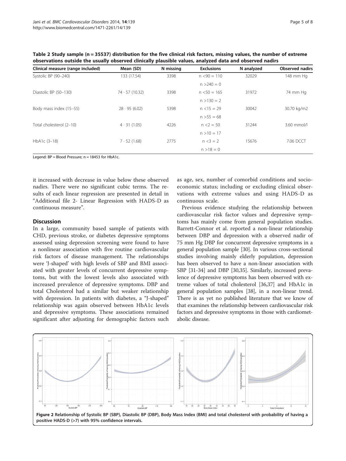| ------------- -------- ---- ----- |                       |           |                   |            |                        |  |  |  |  |
|-----------------------------------|-----------------------|-----------|-------------------|------------|------------------------|--|--|--|--|
| Clinical measure (range included) | Mean (SD)             | N missing | <b>Exclusions</b> | N analyzed | <b>Observed nadirs</b> |  |  |  |  |
| Systolic BP (90-240)              | 133 (17.54)           | 3398      | $n < 90 = 110$    | 32029      | 148 mm Hg              |  |  |  |  |
|                                   |                       |           | $n > 240 = 0$     |            |                        |  |  |  |  |
| Diastolic BP (50-130)             | $74 \cdot 57$ (10.32) | 3398      | $n < 50 = 165$    | 31972      | 74 mm Hg               |  |  |  |  |
|                                   |                       |           | $n > 130 = 2$     |            |                        |  |  |  |  |
| Body mass index (15-55)           | $28 \cdot 95(6.02)$   | 5398      | $n < 15 = 29$     | 30042      | 30.70 kg/m2            |  |  |  |  |
|                                   |                       |           | $n > 55 = 68$     |            |                        |  |  |  |  |
| Total cholesterol (2-10)          | $4 \cdot 31$ (1.05)   | 4226      | $n < 2 = 50$      | 31244      | 3.60 mmol/l            |  |  |  |  |
|                                   |                       |           | $n > 10 = 17$     |            |                        |  |  |  |  |
| HbA1c (3-18)                      | $7 \cdot 52$ (1.68)   | 2775      | $n < 3 = 2$       | 15676      | 7.06 DCCT              |  |  |  |  |
|                                   |                       |           | $n > 18 = 0$      |            |                        |  |  |  |  |

<span id="page-5-0"></span>Table 2 Study sample (n = 35537) distribution for the five clinical risk factors, missing values, the number of extreme observations outside the usually observed clinically plausible values, analyzed data and observed nadirs

Legend:  $BP = Blood Pressure; n = 18453 for HbA1c.$ 

it increased with decrease in value below these observed nadirs. There were no significant cubic terms. The results of each linear regression are presented in detail in "Additional file [2-](#page-7-0) Linear Regression with HADS-D as continuous measure".

#### **Discussion**

In a large, community based sample of patients with CHD, previous stroke, or diabetes depressive symptoms assessed using depression screening were found to have a nonlinear association with five routine cardiovascular risk factors of disease management. The relationships were 'J-shaped' with high levels of SBP and BMI associated with greater levels of concurrent depressive symptoms, but with the lowest levels also associated with increased prevalence of depressive symptoms. DBP and total Cholesterol had a similar but weaker relationship with depression. In patients with diabetes, a "J-shaped" relationship was again observed between HbA1c levels and depressive symptoms. These associations remained significant after adjusting for demographic factors such as age, sex, number of comorbid conditions and socioeconomic status; including or excluding clinical observations with extreme values and using HADS-D as continuous scale.

Previous evidence studying the relationship between cardiovascular risk factor values and depressive symptoms has mainly come from general population studies. Barrett-Connor et al. reported a non-linear relationship between DBP and depression with a observed nadir of 75 mm Hg DBP for concurrent depressive symptoms in a general population sample [[30](#page-8-0)]. In various cross-sectional studies involving mainly elderly population, depression has been observed to have a non-linear association with SBP [[31](#page-8-0)-[34](#page-8-0)] and DBP [[30,35](#page-8-0)]. Similarly, increased prevalence of depressive symptoms has been observed with extreme values of total cholesterol [[36,37\]](#page-8-0) and HbA1c in general population samples [[38](#page-8-0)], in a non-linear trend. There is as yet no published literature that we know of that examines the relationship between cardiovascular risk factors and depressive symptoms in those with cardiometabolic disease.

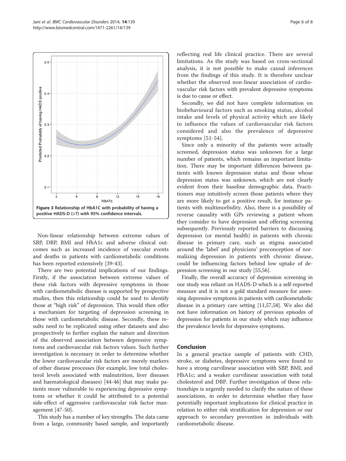<span id="page-6-0"></span>

Non-linear relationship between extreme values of SBP, DBP, BMI and HbA1c and adverse clinical outcomes such as increased incidence of vascular events and deaths in patients with cardiometabolic conditions has been reported extensively [[39-43\]](#page-8-0).

There are two potential implications of our findings. Firstly, if the association between extreme values of these risk factors with depressive symptoms in those with cardiometabolic disease is supported by prospective studies, then this relationship could be used to identify those at "high risk" of depression. This would then offer a mechanism for targeting of depression screening in those with cardiometabolic disease. Secondly, these results need to be replicated using other datasets and also prospectively to further explain the nature and direction of the observed association between depressive symptoms and cardiovascular risk factors values. Such further investigation is necessary in order to determine whether the lower cardiovascular risk factors are merely markers of other disease processes (for example, low total cholesterol levels associated with malnutrition, liver diseases and haematological diseases) [\[44-46](#page-8-0)] that may make patients more vulnerable to experiencing depressive symptoms or whether it could be attributed to a potential side-effect of aggressive cardiovascular risk factor management [\[47](#page-8-0)-[50\]](#page-8-0).

This study has a number of key strengths. The data came from a large, community based sample, and importantly reflecting real life clinical practice. There are several limitations. As the study was based on cross-sectional analysis, it is not possible to make causal inferences from the findings of this study. It is therefore unclear whether the observed non-linear association of cardiovascular risk factors with prevalent depressive symptoms is due to cause or effect.

Secondly, we did not have complete information on biobehavioural factors such as smoking status, alcohol intake and levels of physical activity which are likely to influence the values of cardiovascular risk factors considered and also the prevalence of depressive symptoms [\[51-54\]](#page-8-0).

Since only a minority of the patients were actually screened, depression status was unknown for a large number of patients, which remains an important limitation. There may be important differences between patients with known depression status and those whose depression status was unknown, which are not clearly evident from their baseline demographic data. Practitioners may intuitively screen those patients where they are more likely to get a positive result, for instance patients with multimorbidity. Also, there is a possibility of reverse causality with GPs reviewing a patient whom they consider to have depression and offering screening subsequently. Previously reported barriers to discussing depression (or mental health) in patients with chronic disease in primary care, such as stigma associated around the 'label' and physicians' preconception of normalizing depression in patients with chronic disease, could be influencing factors behind low uptake of depression screening in our study [\[55,56](#page-8-0)].

Finally, the overall accuracy of depression screening in our study was reliant on HADS-D which is a self-reported measure and it is not a gold standard measure for assessing depressive symptoms in patients with cardiometabolic disease in a primary care setting [\[11,](#page-7-0)[57,58](#page-8-0)]. We also did not have information on history of previous episodes of depression for patients in our study which may influence the prevalence levels for depressive symptoms.

#### Conclusion

In a general practice sample of patients with CHD, stroke, or diabetes, depressive symptoms were found to have a strong curvilinear association with SBP, BMI, and HbA1c; and a weaker curvilinear association with total cholesterol and DBP. Further investigation of these relationships is urgently needed to clarify the nature of these associations, in order to determine whether they have potentially important implications for clinical practice in relation to either risk stratification for depression or our approach to secondary prevention in individuals with cardiometabolic disease.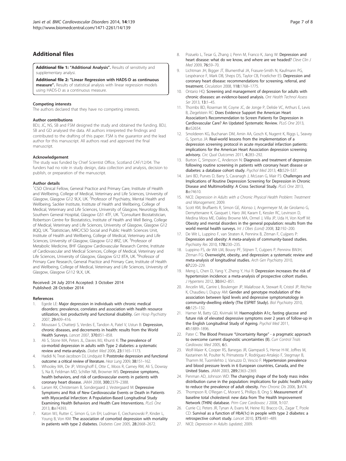### <span id="page-7-0"></span>Additional files

[Additional file 1:](http://www.biomedcentral.com/content/supplementary/1471-2261-14-139-S1.pdf) "Additional Analysis". Results of sensitivity and supplementary analysi.

[Additional file 2:](http://www.biomedcentral.com/content/supplementary/1471-2261-14-139-S2.pdf) "Linear Regression with HADS-D as continuous measure". Results of statistical analysis with linear regression models using HADS-D as a continuous measure.

#### Competing interests

The authors declared that they have no competing interests.

#### Author contributions

BDJ, JC, NS, SB and FSM designed the study and obtained the funding. BDJ, SB and GD analysed the data. All authors interpreted the findings and contributed to the drafting of this paper. FSM is the guarantor and the lead author for this manuscript. All authors read and approved the final manuscript.

#### Acknowledgement

The study was funded by Chief Scientist Office, Scotland CAF/12/04. The funders had no role in study design, data collection and analysis, decision to publish, or preparation of the manuscript.

#### Author details

<sup>1</sup>CSO Clinical Fellow, General Practice and Primary Care, Institute of Health and Wellbeing, College of Medical, Veterinary and Life Sciences, University of Glasgow, Glasgow G12 9LX, UK. <sup>2</sup>Professor of Psychiatry, Mental Health and Wellbeing, Sackler Institute, Institute of Health and Wellbeing, College of Medical, Veterinary and Life Sciences, University of Glasgow, Neurology Block, Southern General Hospital, Glasgow G51 4TF, UK. <sup>3</sup>Consultant Biostatistician, Robertson Centre for Biostatistics, Institute of Health and Well Being, College of Medical, Veterinary and Life Sciences, University of Glasgow, Glasgow G12 8QQ, UK. <sup>4</sup> Statistician, MRC/CSO Social and Public Health Sciences Unit, Institute of Health and Wellbeing, College of Medical, Veterinary and Life Sciences, University of Glasgow, Glasgow G12 8RZ, UK. <sup>5</sup>Professor of Metabolic Medicine, BHF Glasgow Cardiovascular Research Centre, Institute of Cardiovascular and Medical Sciences, College of Medical, Veterinary and Life Sciences, University of Glasgow, Glasgow G12 8TA, UK. <sup>6</sup>Professor of Primary Care Research, General Practice and Primary Care, Institute of Health and Wellbeing, College of Medical, Veterinary and Life Sciences, University of Glasgow, Glasgow G112 9LX, UK.

#### Received: 24 July 2014 Accepted: 3 October 2014 Published: 28 October 2014

#### References

- Egede LE: Major depression in individuals with chronic medical disorders: prevalence, correlates and association with health resource utilization, lost productivity and functional disability. Gen Hosp Psychiatry 2007, 29:409–416.
- Moussavi S, Chatterji S, Verdes E, Tandon A, Patel V, Ustun B: Depression, chronic diseases, and decrements in health: results from the World Health Surveys. Lancet 2007, 370:851–858.
- 3. Ali S, Stone MA, Peters JL, Davies MJ, Khunti K: The prevalence of co-morbid depression in adults with Type 2 diabetes: a systematic review and meta-analysis. Diabet Med 2006, 23:1165–1173.
- 4. Hadidi N, Treat-Jacobson DJ, Lindquist R: Poststroke depression and functional outcome: a critical review of literature. Hear Lung 2009, 38:151–162.
- 5. Whooley MA, De JP, Vittinghoff E, Otte C, Moos R, Carney RM, Ali S, Dowray S, Na B, Feldman MD, Schiller NB, Browner WS: Depressive symptoms, health behaviors, and risk of cardiovascular events in patients with coronary heart disease. JAMA 2008, 300:2379–2388.
- 6. Larsen KK, Christensen B, Sondergaard J, Vestergaard M: Depressive Symptoms and Risk of New Cardiovascular Events or Death in Patients with Myocardial Infarction: A Population-Based Longitudinal Study Examining Health Behaviors and Health Care Interventions. PLoS One 2013, 8:e74393.
- Katon WJ, Rutter C, Simon G, Lin EH, Ludman E, Ciechanowski P, Kinder L, Young B, Von KM: The association of comorbid depression with mortality in patients with type 2 diabetes. Diabetes Care 2005, 28:2668–2672.
- 8. Pozuelo L, Tesar G, Zhang J, Penn M, Franco K, Jiang W: Depression and heart disease: what do we know, and where are we headed? Cleve Clin J Med 2009, **76:**59–70.
- 9. Lichtman JH, Bigger JT, Blumenthal JA, Frasure-Smith N, Kaufmann PG, Lespérance F, Mark DB, Sheps DS, Taylor CB, Froelicher ES: Depression and coronary heart disease: recommendations for screening, referral, and treatment. Circulation 2008, 118:1768–1775.
- 10. Ontario HQ: Screening and management of depression for adults with chronic diseases: an evidence-based analysis. Ont Health Technol Assess Ser 2013, 13:1–45.
- 11. Thombs BD, Roseman M, Coyne JC, de Jonge P, Delisle VC, Arthurs E, Levis B, Ziegelstein RC: Does Evidence Support the American Heart Association's Recommendation to Screen Patients for Depression in Cardiovascular Care? An Updated Systematic Review. PLoS One 2013, 8:e52654.
- 12. Smolderen KG, Buchanan DM, Amin AA, Gosch K, Nugent K, Riggs L, Seavey G, Spertus JA: Real-world lessons from the implementation of a depression screening protocol in acute myocardial infarction patients: implications for the American Heart Association depression screening advisory. Circ Qual Outcomes 2011, 4:283–292.
- 13. Burton C, Simpson C, Anderson N: Diagnosis and treatment of depression following routine screening in patients with coronary heart disease or diabetes: a database cohort study. Psychol Med 2013, 43:529–537.
- 14. Jani BD, Purves D, Barry S, Cavanagh J, McLean G, Mair FS: Challenges and Implications of Routine Depression Screening for Depression in Chronic Disease and Multimorbidity: A Cross Sectional Study. PLoS One 2013, 8:e74610.
- 15. NICE: Depression in Adults with a Chronic Physical Health Problem: Treatment and Management; 2009.
- 16. Scott KM, Bruffaerts R, Simon GE, Alonso J, Angermeyer M, de Girolamo G, Demyttenaere K, Gasquet I, Haro JM, Karam E, Kessler RC, Levinson D, Medina Mora ME, Oakley Browne MA, Ormel J, Villa JP, Uda H, Von Korff M: Obesity and mental disorders in the general population: results from the world mental health surveys. Int J Obes (Lond) 2008, 32:192–200.
- 17. De Wit L, Luppino F, van Straten A, Penninx B, Zitman F, Cuijpers P: Depression and obesity: A meta-analysis of community-based studies. Psychiatry Res 2010, 178:230–235.
- 18. Luppino FS, de Wit LM, Bouvy PF, Stijnen T, Cuijpers P, Penninx BWJH, Zitman FG: Overweight, obesity, and depression: a systematic review and meta-analysis of longitudinal studies. Arch Gen Psychiatry 2010, 67:220–229.
- 19. Meng L, Chen D, Yang Y, Zheng Y, Hui R: Depression increases the risk of hypertension incidence: a meta-analysis of prospective cohort studies. J Hypertens 2012, 30:842–851.
- 20. Ancelin ML, Carrire I, Boulenger JP, Malafosse A, Stewart R, Cristol JP, Ritchie K, Chaudieu I, Dupuy AM: Gender and genotype modulation of the association between lipid levels and depressive symptomatology in community-dwelling elderly (The ESPRIT Study). Biol Psychiatry 2010, 68:125–132.
- 21. Hamer M, Batty GD, Kivimaki M: Haemoglobin A1c, fasting glucose and future risk of elevated depressive symptoms over 2 years of follow-up in the English Longitudinal Study of Ageing. Psychol Med 2011, 41:1889–1896.
- 22. Pater C: The Blood Pressure "Uncertainty Range" a pragmatic approach to overcome current diagnostic uncertainties (II). Curr Control Trials Cardiovasc Med 2005, 6:5.
- 23. Wolf-Maier K, Cooper RS, Banegas JR, Giampaoli S, Hense H-W, Joffres M, Kastarinen M, Poulter N, Primatesta P, Rodríguez-Artalejo F, Stegmayr B, Thamm M, Tuomilehto J, Vanuzzo D, Vescio F: Hypertension prevalence and blood pressure levels in 6 European countries, Canada, and the United States. JAMA 2003, 289:2363–2369.
- 24. Penman AD, Johnson WD: The changing shape of the body mass index distribution curve in the population: implications for public health policy to reduce the prevalence of adult obesity. Prev Chronic Dis 2006, 3:A74.
- 25. Thompson R, O'Regan C, Morant S, Phillips B, Ong S: Measurement of baseline total cholesterol: new data from The Health Improvement Network (THIN) database. Prim Care Cardiovasc J 2008, 1:107.
- 26. Currie CJ, Peters JR, Tynan A, Evans M, Heine RJ, Bracco OL, Zagar T, Poole CD: Survival as a function of HbA(1c) in people with type 2 diabetes: a retrospective cohort study. Lancet 2010, 375:481–489.
- 27. NICE: Depression in Adults (update); 2009.